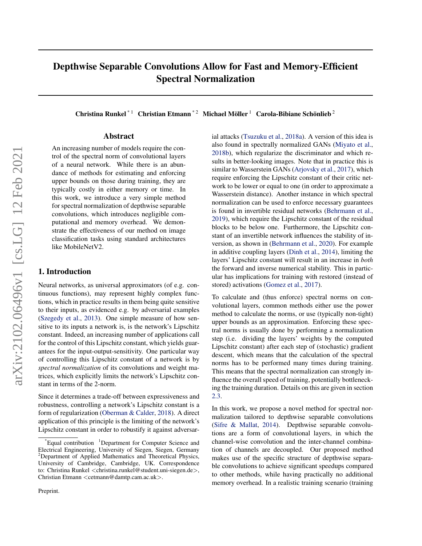# <span id="page-0-0"></span>Depthwise Separable Convolutions Allow for Fast and Memory-Efficient Spectral Normalization

Christina Runkel<sup>\*1</sup> Christian Etmann<sup>\*2</sup> Michael Möller<sup>1</sup> Carola-Bibiane Schönlieb<sup>2</sup>

# Abstract

An increasing number of models require the control of the spectral norm of convolutional layers of a neural network. While there is an abundance of methods for estimating and enforcing upper bounds on those during training, they are typically costly in either memory or time. In this work, we introduce a very simple method for spectral normalization of depthwise separable convolutions, which introduces negligible computational and memory overhead. We demonstrate the effectiveness of our method on image classification tasks using standard architectures like MobileNetV2.

## 1. Introduction

Neural networks, as universal approximators (of e.g. continuous functions), may represent highly complex functions, which in practice results in them being quite sensitive to their inputs, as evidenced e.g. by adversarial examples [\(Szegedy et al.,](#page-9-0) [2013\)](#page-9-0). One simple measure of how sensitive to its inputs a network is, is the network's Lipschitz constant. Indeed, an increasing number of applications call for the control of this Lipschitz constant, which yields guarantees for the input-output-sensitivity. One particular way of controlling this Lipschitz constant of a network is by *spectral normalization* of its convolutions and weight matrices, which explicitly limits the network's Lipschitz constant in terms of the 2-norm.

Since it determines a trade-off between expressiveness and robustness, controlling a network's Lipschitz constant is a form of regularization [\(Oberman & Calder,](#page-8-0) [2018\)](#page-8-0). A direct application of this principle is the limiting of the network's Lipschitz constant in order to robustify it against adversarial attacks [\(Tsuzuku et al.,](#page-9-0) [2018a\)](#page-9-0). A version of this idea is also found in spectrally normalized GANs [\(Miyato et al.,](#page-8-0) [2018b\)](#page-8-0), which regularize the discriminator and which results in better-looking images. Note that in practice this is similar to Wasserstein GANs [\(Arjovsky et al.,](#page-8-0) [2017\)](#page-8-0), which require enforcing the Lipschitz constant of their critic network to be lower or equal to one (in order to approximate a Wasserstein distance). Another instance in which spectral normalization can be used to enforce necessary guarantees is found in invertible residual networks [\(Behrmann et al.,](#page-8-0) [2019\)](#page-8-0), which require the Lipschitz constant of the residual blocks to be below one. Furthermore, the Lipschitz constant of an invertible network influences the stability of inversion, as shown in [\(Behrmann et al.,](#page-8-0) [2020\)](#page-8-0). For example in additive coupling layers [\(Dinh et al.,](#page-8-0) [2014\)](#page-8-0), limiting the layers' Lipschitz constant will result in an increase in *both* the forward and inverse numerical stability. This in particular has implications for training with restored (instead of stored) activations [\(Gomez et al.,](#page-8-0) [2017\)](#page-8-0).

To calculate and (thus enforce) spectral norms on convolutional layers, common methods either use the power method to calculate the norms, or use (typically non-tight) upper bounds as an approximation. Enforcing these spectral norms is usually done by performing a normalization step (i.e. dividing the layers' weights by the computed Lipschitz constant) after each step of (stochastic) gradient descent, which means that the calculation of the spectral norms has to be performed many times during training. This means that the spectral normalization can strongly influence the overall speed of training, potentially bottlenecking the training duration. Details on this are given in section [2.3.](#page-1-0)

In this work, we propose a novel method for spectral normalization tailored to depthwise separable convolutions [\(Sifre & Mallat,](#page-9-0) [2014\)](#page-9-0). Depthwise separable convolutions are a form of convolutional layers, in which the channel-wise convolution and the inter-channel combination of channels are decoupled. Our proposed method makes use of the specific structure of depthwise separable convolutions to achieve significant speedups compared to other methods, while having practically no additional memory overhead. In a realistic training scenario (training

Equal contribution <sup>1</sup>Department for Computer Science and Electrical Engineering, University of Siegen, Siegen, Germany <sup>2</sup>Department of Applied Mathematics and Theoretical Physics, University of Cambridge, Cambridge, UK. Correspondence to: Christina Runkel <christina.runkel@student.uni-siegen.de>, Christian Etmann <cetmann@damtp.cam.ac.uk>.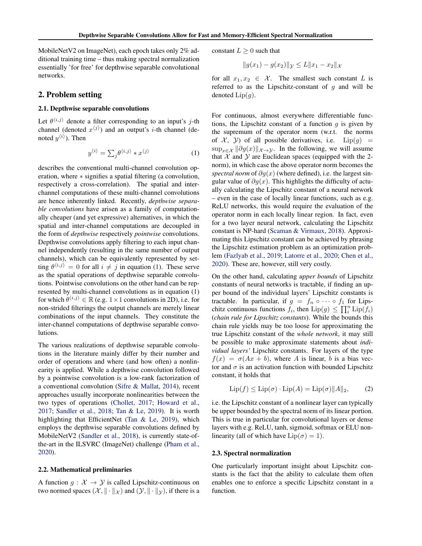<span id="page-1-0"></span>MobileNetV2 on ImageNet), each epoch takes only 2% additional training time – thus making spectral normalization essentially 'for free' for depthwise separable convolutional networks.

# 2. Problem setting

## 2.1. Depthwise separable convolutions

Let  $\theta^{\langle i,j \rangle}$  denote a filter corresponding to an input's j-th channel (denoted  $x^{(j)}$ ) and an output's *i*-th channel (denoted  $y^{\langle i \rangle}$ ). Then

$$
y^{\langle i \rangle} = \sum_{j} \theta^{\langle i, j \rangle} * x^{\langle j \rangle} \tag{1}
$$

describes the conventional multi-channel convolution operation, where ∗ signifies a spatial filtering (a convolution, respectively a cross-correlation). The spatial and interchannel computations of these multi-channel convolutions are hence inherently linked. Recently, *depthwise separable convolutions* have arisen as a family of computationally cheaper (and yet expressive) alternatives, in which the spatial and inter-channel computations are decoupled in the form of *depthwise* respectively *pointwise* convolutions. Depthwise convolutions apply filtering to each input channel independently (resulting in the same number of output channels), which can be equivalently represented by setting  $\theta^{\langle i,j \rangle} = 0$  for all  $i \neq j$  in equation (1). These serve as the spatial operations of depthwise separable convolutions. Pointwise convolutions on the other hand can be represented by multi-channel convolutions as in equation (1) for which  $\hat{\theta}^{\langle i,j \rangle} \in \mathbb{R}$  (e.g.  $1 \times 1$  convolutions in 2D), i.e. for non-strided filterings the output channels are merely linear combinations of the input channels. They constitute the inter-channel computations of depthwise separable convolutions.

The various realizations of depthwise separable convolutions in the literature mainly differ by their number and order of operations and where (and how often) a nonlinearity is applied. While a depthwise convolution followed by a pointwise convolution is a low-rank factorization of a conventional convolution [\(Sifre & Mallat,](#page-9-0) [2014\)](#page-9-0), recent approaches usually incorporate nonlinearities between the two types of operations [\(Chollet,](#page-8-0) [2017;](#page-8-0) [Howard et al.,](#page-8-0) [2017;](#page-8-0) [Sandler et al.,](#page-9-0) [2018;](#page-9-0) [Tan & Le,](#page-9-0) [2019\)](#page-9-0). It is worth highlighting that EfficientNet [\(Tan & Le,](#page-9-0) [2019\)](#page-9-0), which employs the depthwise separable convolutions defined by MobileNetV2 [\(Sandler et al.,](#page-9-0) [2018\)](#page-9-0), is currently state-ofthe-art in the ILSVRC (ImageNet) challenge [\(Pham et al.,](#page-8-0) [2020\)](#page-8-0).

### 2.2. Mathematical preliminaries

A function  $q : \mathcal{X} \to \mathcal{Y}$  is called Lipschitz-continuous on two normed spaces  $(\mathcal{X}, \|\cdot\|_{\mathcal{X}})$  and  $(\mathcal{Y}, \|\cdot\|_{\mathcal{Y}})$ , if there is a constant  $L \geq 0$  such that

$$
||g(x_1) - g(x_2)||_{\mathcal{Y}} \le L||x_1 - x_2||_{\mathcal{X}}
$$

for all  $x_1, x_2 \in \mathcal{X}$ . The smallest such constant L is referred to as the Lipschitz-constant of  $g$  and will be denoted  $Lip(g)$ .

For continuous, almost everywhere differentiable functions, the Lipschitz constant of a function  $q$  is given by the supremum of the operator norm (w.r.t. the norms of  $\mathcal{X}$ ,  $\mathcal{Y}$  of all possible derivatives, i.e.  $Lip(g)$  =  $\sup_{x \in \mathcal{X}} || \partial g(x)||_{\mathcal{X} \to \mathcal{Y}}$ . In the following, we will assume that  $X$  and  $Y$  are Euclidean spaces (equipped with the 2norm), in which case the above operator norm becomes the *spectral norm* of  $\partial g(x)$  (where defined), i.e. the largest singular value of  $\partial g(x)$ . This highlights the difficulty of actually calculating the Lipschitz constant of a neural network – even in the case of locally linear functions, such as e.g. ReLU networks, this would require the evaluation of the operator norm in each locally linear region. In fact, even for a two layer neural network, calculating the Lipschitz constant is NP-hard [\(Scaman & Virmaux,](#page-9-0) [2018\)](#page-9-0). Approximating this Lipschitz constant can be achieved by phrasing the Lipschitz estimation problem as an optimization problem [\(Fazlyab et al.,](#page-8-0) [2019;](#page-8-0) [Latorre et al.,](#page-8-0) [2020;](#page-8-0) [Chen et al.,](#page-8-0) [2020\)](#page-8-0). These are, however, still very costly.

On the other hand, calculating *upper bounds* of Lipschitz constants of neural networks is tractable, if finding an upper bound of the individual layers' Lipschitz constants is tractable. In particular, if  $g = f_n \circ \cdots \circ f_1$  for Lipschitz continuous functions  $f_i$ , then  $\text{Lip}(g) \le \prod_i^n \text{Lip}(f_i)$ (*chain rule for Lipschitz constants*). While the bounds this chain rule yields may be too loose for approximating the true Lipschitz constant of the *whole network*, it may still be possible to make approximate statements about *individual layers'* Lipschitz constants. For layers of the type  $f(x) = \sigma(Ax + b)$ , where A is linear, b is a bias vector and  $\sigma$  is an activation function with bounded Lipschitz constant, it holds that

$$
\text{Lip}(f) \le \text{Lip}(\sigma) \cdot \text{Lip}(A) = \text{Lip}(\sigma) \|A\|_2,\tag{2}
$$

i.e. the Lipschitz constant of a nonlinear layer can typically be upper bounded by the spectral norm of its linear portion. This is true in particular for convolutional layers or dense layers with e.g. ReLU, tanh, sigmoid, softmax or ELU nonlinearity (all of which have  $\text{Lip}(\sigma) = 1$ ).

#### 2.3. Spectral normalization

One particularly important insight about Lipschitz constants is the fact that the ability to calculate them often enables one to enforce a specific Lipschitz constant in a function.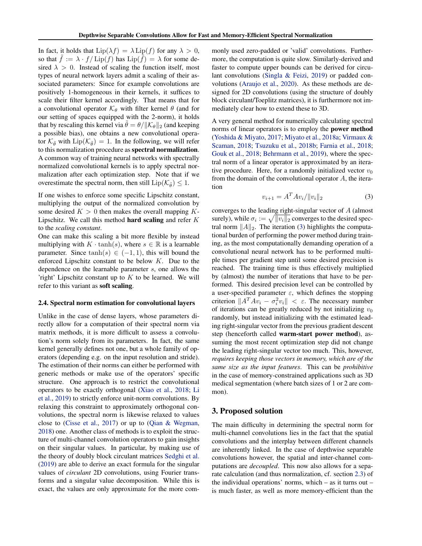<span id="page-2-0"></span>In fact, it holds that  $\text{Lip}(\lambda f) = \lambda \text{Lip}(f)$  for any  $\lambda > 0$ , so that  $f := \lambda \cdot f / \text{Lip}(f)$  has  $\text{Lip}(f) = \lambda$  for some desired  $\lambda > 0$ . Instead of scaling the function itself, most types of neural network layers admit a scaling of their associated parameters: Since for example convolutions are positively 1-homogeneous in their kernels, it suffices to scale their filter kernel accordingly. That means that for a convolutional operator  $\mathcal{K}_{\theta}$  with filter kernel  $\theta$  (and for our setting of spaces equipped with the 2-norm), it holds that by rescaling this kernel via  $\theta = \theta / ||\mathcal{K}_{\theta}||_2$  (and keeping a possible bias), one obtains a new convolutional operator  $\mathcal{K}_{\tilde{\theta}}$  with  $\text{Lip}(\mathcal{K}_{\tilde{\theta}})=1$ . In the following, we will refer to this normalization procedure as spectral normalization. A common way of training neural networks with spectrally normalized convolutional kernels is to apply spectral normalization after each optimization step. Note that if we overestimate the spectral norm, then still  $\text{Lip}(\mathcal{K}_{\tilde{\theta}}) \leq 1$ .

If one wishes to enforce some specific Lipschitz constant, multiplying the output of the normalized convolution by some desired  $K > 0$  then makes the overall mapping K-Lipschitz. We call this method **hard scaling** and refer  $K$ to the *scaling constant*.

One can make this scaling a bit more flexible by instead multiplying with  $K \cdot \tanh(s)$ , where  $s \in \mathbb{R}$  is a learnable parameter. Since  $tanh(s) \in (-1, 1)$ , this will bound the enforced Lipschitz constant to be below  $K$ . Due to the dependence on the learnable parameter s, one allows the 'right' Lipschitz constant up to  $K$  to be learned. We will refer to this variant as soft scaling.

### 2.4. Spectral norm estimation for convolutional layers

Unlike in the case of dense layers, whose parameters directly allow for a computation of their spectral norm via matrix methods, it is more difficult to assess a convolution's norm solely from its parameters. In fact, the same kernel generally defines not one, but a whole family of operators (depending e.g. on the input resolution and stride). The estimation of their norms can either be performed with generic methods or make use of the operators' specific structure. One approach is to restrict the convolutional operators to be exactly orthogonal [\(Xiao et al.,](#page-9-0) [2018;](#page-9-0) [Li](#page-8-0) [et al.,](#page-8-0) [2019\)](#page-8-0) to strictly enforce unit-norm convolutions. By relaxing this constraint to approximately orthogonal convolutions, the spectral norm is likewise relaxed to values close to [\(Cisse et al.,](#page-8-0) [2017\)](#page-8-0) or up to [\(Qian & Wegman,](#page-8-0) [2018\)](#page-8-0) one. Another class of methods is to exploit the structure of multi-channel convolution operators to gain insights on their singular values. In particular, by making use of the theory of doubly block circulant matrices [Sedghi et al.](#page-9-0) [\(2019\)](#page-9-0) are able to derive an exact formula for the singular values of *circulant* 2D convolutions, using Fourier transforms and a singular value decomposition. While this is exact, the values are only approximate for the more commonly used zero-padded or 'valid' convolutions. Furthermore, the computation is quite slow. Similarly-derived and faster to compute upper bounds can be derived for circulant convolutions [\(Singla & Feizi,](#page-9-0) [2019\)](#page-9-0) or padded convolutions [\(Araujo et al.,](#page-8-0) [2020\)](#page-8-0). As these methods are designed for 2D convolutions (using the structure of doubly block circulant/Toeplitz matrices), it is furthermore not immediately clear how to extend these to 3D.

A very general method for numerically calculating spectral norms of linear operators is to employ the power method [\(Yoshida & Miyato,](#page-9-0) [2017;](#page-9-0) [Miyato et al.,](#page-8-0) [2018a;](#page-8-0) [Virmaux &](#page-9-0) [Scaman,](#page-9-0) [2018;](#page-9-0) [Tsuzuku et al.,](#page-9-0) [2018b;](#page-9-0) [Farnia et al.,](#page-8-0) [2018;](#page-8-0) [Gouk et al.,](#page-8-0) [2018;](#page-8-0) [Behrmann et al.,](#page-8-0) [2019\)](#page-8-0), where the spectral norm of a linear operator is approximated by an iterative procedure. Here, for a randomly initialized vector  $v_0$ from the domain of the convolutional operator A, the iteration

$$
v_{i+1} = A^T A v_i / \|v_i\|_2 \tag{3}
$$

converges to the leading right-singular vector of A (almost surely), while  $\sigma_i := \sqrt{||v_i||_2}$  converges to the desired spectral norm  $||A||_2$ . The iteration (3) highlights the computational burden of performing the power method during training, as the most computationally demanding operation of a convolutional neural network has to be performed multiple times per gradient step until some desired precision is reached. The training time is thus effectively multiplied by (almost) the number of iterations that have to be performed. This desired precision level can be controlled by a user-specified parameter  $\varepsilon$ , which defines the stopping criterion  $||A^T A v_i - \sigma_i^2 v_i|| < \varepsilon$ . The necessary number of iterations can be greatly reduced by not initializing  $v_0$ randomly, but instead initializing with the estimated leading right-singular vector from the previous gradient descent step (henceforth called warm-start power method), assuming the most recent optimization step did not change the leading right-singular vector too much. This, however, *requires keeping those vectors in memory, which are of the same size as the input features*. This can be *prohibitive* in the case of memory-constrained applications such as 3D medical segmentation (where batch sizes of 1 or 2 are common).

# 3. Proposed solution

The main difficulty in determining the spectral norm for multi-channel convolutions lies in the fact that the spatial convolutions and the interplay between different channels are inherently linked. In the case of depthwise separable convolutions however, the spatial and inter-channel computations are *decoupled*. This now also allows for a separate calculation (and thus normalization, cf. section [2.3\)](#page-1-0) of the individual operations' norms, which – as it turns out – is much faster, as well as more memory-efficient than the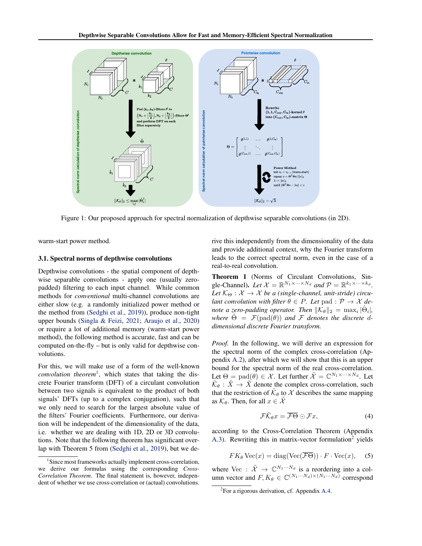<span id="page-3-0"></span>

Figure 1: Our proposed approach for spectral normalization of depthwise separable convolutions (in 2D).

warm-start power method.

### 3.1. Spectral norms of depthwise convolutions

Depthwise convolutions - the spatial component of depthwise separable convolutions - apply one (usually zeropadded) filtering to each input channel. While common methods for *conventional* multi-channel convolutions are either slow (e.g. a randomly initialized power method or the method from [\(Sedghi et al.,](#page-9-0) [2019\)](#page-9-0)), produce non-tight upper bounds [\(Singla & Feizi,](#page-9-0) [2021;](#page-9-0) [Araujo et al.,](#page-8-0) [2020\)](#page-8-0) or require a lot of additional memory (warm-start power method), the following method is accurate, fast and can be computed on-the-fly – but is only valid for depthwise convolutions.

For this, we will make use of a form of the well-known *convolution theorem*<sup>1</sup> , which states that taking the discrete Fourier transform (DFT) of a circulant convolution between two signals is equivalent to the product of both signals' DFTs (up to a complex conjugation), such that we only need to search for the largest absolute value of the filters' Fourier coefficients. Furthermore, our derivation will be independent of the dimensionality of the data, i.e. whether we are dealing with 1D, 2D or 3D convolutions. Note that the following theorem has significant overlap with Theorem 5 from [\(Sedghi et al.,](#page-9-0) [2019\)](#page-9-0), but we derive this independently from the dimensionality of the data and provide additional context, why the Fourier transform leads to the correct spectral norm, even in the case of a real-to-real convolution.

Theorem 1 (Norms of Circulant Convolutions, Single-Channel). Let  $X = \mathbb{R}^{N_1 \times \cdots \times N_d}$  and  $\mathcal{P} = \mathbb{R}^{k_1 \times \cdots \times k_d}$ . Let  $K_{\Theta}: \mathcal{X} \to \mathcal{X}$  be a (single-channel, unit-stride) circu*lant convolution with filter*  $\theta \in P$ *. Let* pad :  $P \rightarrow \mathcal{X}$  *denote a zero-padding operator. Then*  $\|\overline{\mathcal{K}}_{\theta}\|_2 = \max_i |\hat{\Theta}_i|$ , *where*  $\hat{\Theta} = \mathcal{F}(\text{pad}(\theta))$  *and*  $\mathcal F$  *denotes the discrete ddimensional discrete Fourier transform.*

*Proof.* In the following, we will derive an expression for the spectral norm of the complex cross-correlation (Appendix [A.2\)](#page-10-0), after which we will show that this is an upper bound for the spectral norm of the real cross-correlation. Let  $\Theta = \text{pad}(\hat{\theta}) \in \mathcal{X}$ . Let further  $\tilde{\mathcal{X}} = \mathbb{C}^{N_1 \times \cdots \times N_d}$ . Let  $\tilde{\mathcal{K}}_{\theta}$ :  $\tilde{X} \rightarrow \tilde{X}$  denote the complex cross-correlation, such that the restriction of  $\tilde{\mathcal{K}}_{\theta}$  to  $\mathcal X$  describes the same mapping as  $\mathcal{K}_{\theta}$ . Then, for all  $x \in \mathcal{X}$ 

$$
\mathcal{F}\tilde{\mathcal{K}}_{\theta}x = \overline{\mathcal{F}\Theta} \odot \mathcal{F}x, \tag{4}
$$

according to the Cross-Correlation Theorem (Appendix [A.3\)](#page-10-0). Rewriting this in matrix-vector formulation<sup>2</sup> yields

$$
FK_{\theta} \text{Vec}(x) = \text{diag}(\text{Vec}(\overline{\mathcal{F}\Theta})) \cdot F \cdot \text{Vec}(x), \quad (5)
$$

where Vec :  $\tilde{\mathcal{X}} \to \mathbb{C}^{N_1 \cdots N_d}$  is a reordering into a column vector and  $F, K_{\theta} \in \mathbb{C}^{(N_1 \cdots N_d) \times (N_1 \cdots N_d)}$  correspond

<sup>&</sup>lt;sup>1</sup>Since most frameworks actually implement cross-correlation, we derive our formulas using the corresponding *Cross-Correlation Theorem*. The final statement is, however, independent of whether we use cross-correlation or (actual) convolutions.

<sup>&</sup>lt;sup>2</sup>For a rigorous derivation, cf. Appendix [A.4.](#page-11-0)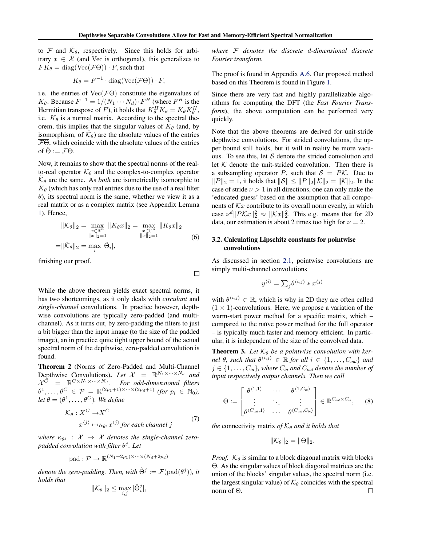<span id="page-4-0"></span>to  $\mathcal F$  and  $\tilde{\mathcal K}_{\theta}$ , respectively. Since this holds for arbitrary  $x \in \tilde{\mathcal{X}}$  (and Vec is orthogonal), this generalizes to  $FK_{\theta} = diag(Vec(\overline{\mathcal{F}\Theta})) \cdot F$ , such that

$$
K_{\theta} = F^{-1} \cdot \text{diag}(\text{Vec}(\overline{\mathcal{F}\Theta})) \cdot F,
$$

i.e. the entries of  $Vec(\overline{\mathcal{F}\Theta})$  constitute the eigenvalues of  $K_{\theta}$ . Because  $F^{-1} = 1/(N_1 \cdots N_d) \cdot F^H$  (where  $F^H$  is the Hermitian transpose of F), it holds that  $K_{\theta}^{H} K_{\theta} = K_{\theta} K_{\theta}^{H}$ , i.e.  $K_{\theta}$  is a normal matrix. According to the spectral theorem, this implies that the singular values of  $K_{\theta}$  (and, by isomorphism, of  $\tilde{\mathcal{K}}_{\theta}$ ) are the absolute values of the entries  $\overline{\mathcal{F}\Theta}$ , which coincide with the absolute values of the entries of  $\hat{\Theta} := \mathcal{F}\Theta$ .

Now, it remains to show that the spectral norms of the realto-real operator  $\mathcal{K}_{\theta}$  and the complex-to-complex operator  $\tilde{\mathcal{K}}_{\theta}$  are the same. As *both* are isometrically isomorphic to  $K_{\theta}$  (which has only real entries due to the use of a real filter  $\theta$ ), its spectral norm is the same, whether we view it as a real matrix or as a complex matrix (see Appendix Lemma [1\)](#page-12-0). Hence,

$$
\begin{aligned} \|\mathcal{K}_{\theta}\|_{2} &= \max_{\substack{x \in \mathbb{R}^{n} \\ \|x\|_{2} = 1}} \|K_{\theta}x\|_{2} = \max_{\substack{x \in \mathbb{C}^{n} \\ \|x\|_{2} = 1}} \|K_{\theta}x\|_{2} \\ &= \|\tilde{\mathcal{K}}_{\theta}\|_{2} = \max_{i} |\hat{\Theta}_{i}|, \end{aligned} \tag{6}
$$

finishing our proof.

While the above theorem yields exact spectral norms, it has two shortcomings, as it only deals with *circulant* and *single-channel* convolutions. In practice however, depthwise convolutions are typically zero-padded (and multichannel). As it turns out, by zero-padding the filters to just a bit bigger than the input image (to the size of the padded image), an in practice quite tight upper bound of the actual spectral norm of the depthwise, zero-padded convolution is found.

Theorem 2 (Norms of Zero-Padded and Multi-Channel Depthwise Convolutions). Let  $X = \mathbb{R}^{N_1 \times \cdots \times N_d}$  and  $\mathcal{X}^{\bar{C}} = \mathbb{R}^{C \times N_1 \times \cdots \times N_d}$ *. For odd-dimensional filters*  $\theta^1,\ldots,\theta^C \in \mathcal{P} = \mathbb{R}^{(2p_1+1)\times\cdots\times(2p_d+1)}$  *(for*  $p_i \in \mathbb{N}_0$ *),*  $let \ \theta = (\theta^1, \ldots, \theta^C)$ *. We define* 

$$
\mathcal{K}_{\theta}: X^C \to X^C
$$
  

$$
x^{\langle j \rangle} \mapsto \kappa_{\theta j} x^{\langle j \rangle} \text{ for each channel } j
$$
 (7)

 $where \kappa_{\theta} : \mathcal{X} \rightarrow \mathcal{X}$  denotes the single-channel zero*padded convolution with filter* θ j *. Let*

$$
pad: \mathcal{P} \to \mathbb{R}^{(N_1+2p_1)\times \cdots \times (N_d+2p_d)}
$$

*denote the zero-padding. Then, with*  $\hat{\Theta}^j := \mathcal{F}(\text{pad}(\theta^j))$ *, it holds that*

$$
\|\mathcal{K}_{\theta}\|_2 \le \max_{i,j} |\hat{\Theta}_i^j|,
$$

*where* F *denotes the discrete* d*-dimensional discrete Fourier transform.*

The proof is found in Appendix [A.6.](#page-13-0) Our proposed method based on this Theorem is found in Figure [1.](#page-3-0)

Since there are very fast and highly parallelizable algorithms for computing the DFT (the *Fast Fourier Transform*), the above computation can be performed very quickly.

Note that the above theorems are derived for unit-stride depthwise convolutions. For strided convolutions, the upper bound still holds, but it will in reality be more vacuous. To see this, let  $S$  denote the strided convolution and let  $K$  denote the unit-strided convolution. Then there is a subsampling operator P, such that  $S = P\mathcal{K}$ . Due to  $||P||_2 = 1$ , it holds that  $||S|| \le ||P||_2||K||_2 = ||K||_2$ . In the case of stride  $\nu > 1$  in all directions, one can only make the 'educated guess' based on the assumption that all components of  $\mathcal{K}x$  contribute to its overall norm evenly, in which case  $\nu^d \| P \mathcal{K} x \|_2^2 \approx \| \mathcal{K} x \|_2^2$ . This e.g. means that for 2D data, our estimation is about 2 times too high for  $\nu = 2$ .

## 3.2. Calculating Lipschitz constants for pointwise convolutions

As discussed in section [2.1,](#page-1-0) pointwise convolutions are simply multi-channel convolutions

$$
y^{\langle i \rangle} = \sum_{j} \theta^{\langle i,j \rangle} * x^{\langle j \rangle}
$$

with  $\theta^{\langle i,j \rangle} \in \mathbb{R}$ , which is why in 2D they are often called  $(1 \times 1)$ -convolutions. Here, we propose a variation of the warm-start power method for a specific matrix, which – compared to the naïve power method for the full operator – is typically much faster and memory-efficient. In particular, it is independent of the size of the convolved data.

**Theorem 3.** Let  $K_{\theta}$  be a pointwise convolution with ker*nel*  $\theta$ *, such that*  $\theta^{\langle i,j \rangle} \in \mathbb{R}$  *for all*  $i \in \{1, ..., C_{out}\}$  *and*  $j \in \{1, \ldots, C_{in}\}\$ , where  $C_{in}$  and  $C_{out}$  denote the number of *input respectively output channels. Then we call*

$$
\Theta := \begin{bmatrix} \theta^{\langle 1,1\rangle} & \cdots & \theta^{\langle 1,C_{in}\rangle} \\ \vdots & \ddots & \vdots \\ \theta^{\langle C_{out},1\rangle} & \cdots & \theta^{\langle C_{out},C_{in}\rangle} \end{bmatrix} \in \mathbb{R}^{C_{out}\times C_{in}}, \quad (8)
$$

*the* connectivity matrix *of*  $K_{\theta}$  *and it holds that* 

$$
\|\mathcal{K}_{\theta}\|_2=\|\Theta\|_2.
$$

*Proof.*  $K_{\theta}$  is similar to a block diagonal matrix with blocks Θ. As the singular values of block diagonal matrices are the union of the blocks' singular values, the spectral norm (i.e. the largest singular value) of  $\mathcal{K}_{\theta}$  coincides with the spectral norm of Θ. $\Box$ 

 $\Box$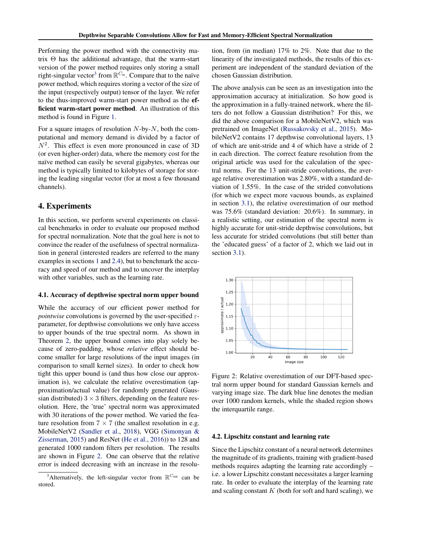<span id="page-5-0"></span>Performing the power method with the connectivity matrix  $\Theta$  has the additional advantage, that the warm-start version of the power method requires only storing a small right-singular vector<sup>3</sup> from  $\mathbb{R}^{C_{\text{in}}}$ . Compare that to the naïve power method, which requires storing a vector of the size of the input (respectively output) tensor of the layer. We refer to the thus-improved warm-start power method as the efficient warm-start power method. An illustration of this method is found in Figure [1.](#page-3-0)

For a square images of resolution  $N$ -by- $N$ , both the computational and memory demand is divided by a factor of  $N^2$ . This effect is even more pronounced in case of 3D (or even higher-order) data, where the memory cost for the naïve method can easily be several gigabytes, whereas our method is typically limited to kilobytes of storage for storing the leading singular vector (for at most a few thousand channels).

# 4. Experiments

In this section, we perform several experiments on classical benchmarks in order to evaluate our proposed method for spectral normalization. Note that the goal here is not to convince the reader of the usefulness of spectral normalization in general (interested readers are referred to the many examples in sections [1](#page-0-0) and [2.4\)](#page-2-0), but to benchmark the accuracy and speed of our method and to uncover the interplay with other variables, such as the learning rate.

### 4.1. Accuracy of depthwise spectral norm upper bound

While the accuracy of our efficient power method for *pointwise* convolutions is governed by the user-specified  $\varepsilon$ parameter, for depthwise convolutions we only have access to upper bounds of the true spectral norm. As shown in Theorem [2,](#page-4-0) the upper bound comes into play solely because of zero-padding, whose *relative* effect should become smaller for large resolutions of the input images (in comparison to small kernel sizes). In order to check how tight this upper bound is (and thus how close our approximation is), we calculate the relative overestimation (approximation/actual value) for randomly generated (Gaussian distributed)  $3 \times 3$  filters, depending on the feature resolution. Here, the 'true' spectral norm was approximated with 30 iterations of the power method. We varied the feature resolution from  $7 \times 7$  (the smallest resolution in e.g. MobileNetV2 [\(Sandler et al.,](#page-9-0) [2018\)](#page-9-0), VGG [\(Simonyan &](#page-9-0) [Zisserman,](#page-9-0) [2015\)](#page-9-0) and ResNet [\(He et al.,](#page-8-0) [2016\)](#page-8-0)) to 128 and generated 1000 random filters per resolution. The results are shown in Figure 2. One can observe that the relative error is indeed decreasing with an increase in the resolu-

tion, from (in median) 17% to 2%. Note that due to the linearity of the investigated methods, the results of this experiment are independent of the standard deviation of the chosen Gaussian distribution.

The above analysis can be seen as an investigation into the approximation accuracy at initialization. So how good is the approximation in a fully-trained network, where the filters do not follow a Gaussian distribution? For this, we did the above comparison for a MobileNetV2, which was pretrained on ImageNet [\(Russakovsky et al.,](#page-9-0) [2015\)](#page-9-0). MobileNetV2 contains 17 depthwise convolutional layers, 13 of which are unit-stride and 4 of which have a stride of 2 in each direction. The correct feature resolution from the original article was used for the calculation of the spectral norms. For the 13 unit-stride convolutions, the average relative overestimation was 2.80%, with a standard deviation of 1.55%. In the case of the strided convolutions (for which we expect more vacuous bounds, as explained in section [3.1\)](#page-3-0), the relative overestimation of our method was 75.6% (standard deviation: 20.6%). In summary, in a realistic setting, our estimation of the spectral norm is highly accurate for unit-stride depthwise convolutions, but less accurate for strided convolutions (but still better than the 'educated guess' of a factor of 2, which we laid out in section [3.1\)](#page-3-0).



Figure 2: Relative overestimation of our DFT-based spectral norm upper bound for standard Gaussian kernels and varying image size. The dark blue line denotes the median over 1000 random kernels, while the shaded region shows the interquartile range.

### 4.2. Lipschitz constant and learning rate

Since the Lipschitz constant of a neural network determines the magnitude of its gradients, training with gradient-based methods requires adapting the learning rate accordingly – i.e. a lower Lipschitz constant necessitates a larger learning rate. In order to evaluate the interplay of the learning rate and scaling constant  $K$  (both for soft and hard scaling), we

<sup>&</sup>lt;sup>3</sup>Alternatively, the left-singular vector from  $\mathbb{R}^{C_{\text{out}}}$  can be stored.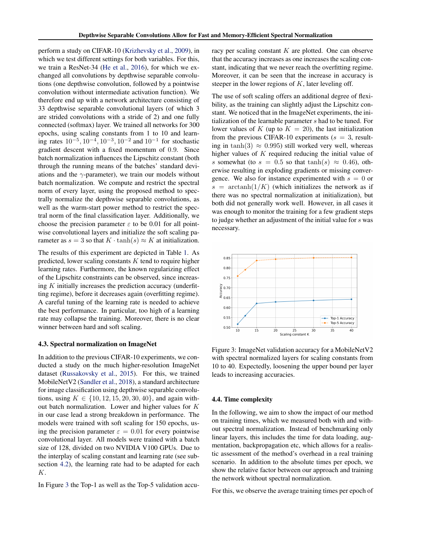perform a study on CIFAR-10 [\(Krizhevsky et al.,](#page-8-0) [2009\)](#page-8-0), in which we test different settings for both variables. For this, we train a ResNet-34 [\(He et al.,](#page-8-0) [2016\)](#page-8-0), for which we exchanged all convolutions by depthwise separable convolutions (one depthwise convolution, followed by a pointwise convolution without intermediate activation function). We therefore end up with a network architecture consisting of 33 depthwise separable convolutional layers (of which 3 are strided convolutions with a stride of 2) and one fully connected (softmax) layer. We trained all networks for 300 epochs, using scaling constants from 1 to 10 and learning rates  $10^{-5}$ ,  $10^{-4}$ ,  $10^{-3}$ ,  $10^{-2}$  and  $10^{-1}$  for stochastic gradient descent with a fixed momentum of 0.9. Since batch normalization influences the Lipschitz constant (both through the running means of the batches' standard deviations and the  $\gamma$ -parameter), we train our models without batch normalization. We compute and restrict the spectral norm of every layer, using the proposed method to spectrally normalize the depthwise separable convolutions, as well as the warm-start power method to restrict the spectral norm of the final classification layer. Additionally, we choose the precision parameter  $\varepsilon$  to be 0.01 for all pointwise convolutional layers and initialize the soft scaling parameter as  $s = 3$  so that  $K \cdot \tanh(s) \approx K$  at initialization.

The results of this experiment are depicted in Table [1.](#page-7-0) As predicted, lower scaling constants  $K$  tend to require higher learning rates. Furthermore, the known regularizing effect of the Lipschitz constraints can be observed, since increasing  $K$  initially increases the prediction accuracy (underfitting regime), before it decreases again (overfitting regime). A careful tuning of the learning rate is needed to achieve the best performance. In particular, too high of a learning rate may collapse the training. Moreover, there is no clear winner between hard and soft scaling.

### 4.3. Spectral normalization on ImageNet

In addition to the previous CIFAR-10 experiments, we conducted a study on the much higher-resolution ImageNet dataset [\(Russakovsky et al.,](#page-9-0) [2015\)](#page-9-0). For this, we trained MobileNetV2 [\(Sandler et al.,](#page-9-0) [2018\)](#page-9-0), a standard architecture for image classification using depthwise separable convolutions, using  $K \in \{10, 12, 15, 20, 30, 40\}$ , and again without batch normalization. Lower and higher values for K in our case lead a strong breakdown in performance. The models were trained with soft scaling for 150 epochs, using the precision parameter  $\varepsilon = 0.01$  for every pointwise convolutional layer. All models were trained with a batch size of 128, divided on two NVIDIA V100 GPUs. Due to the interplay of scaling constant and learning rate (see subsection [4.2\)](#page-5-0), the learning rate had to be adapted for each K.

In Figure 3 the Top-1 as well as the Top-5 validation accu-

racy per scaling constant  $K$  are plotted. One can observe that the accuracy increases as one increases the scaling constant, indicating that we never reach the overfitting regime. Moreover, it can be seen that the increase in accuracy is steeper in the lower regions of  $K$ , later leveling off.

The use of soft scaling offers an additional degree of flexibility, as the training can slightly adjust the Lipschitz constant. We noticed that in the ImageNet experiments, the initialization of the learnable parameter s had to be tuned. For lower values of K (up to  $K = 20$ ), the last initialization from the previous CIFAR-10 experiments ( $s = 3$ , resulting in tanh(3)  $\approx$  0.995) still worked very well, whereas higher values of K required reducing the initial value of s somewhat (to  $s = 0.5$  so that  $tanh(s) \approx 0.46$ ), otherwise resulting in exploding gradients or missing convergence. We also for instance experimented with  $s = 0$  or  $s = \operatorname{arctanh}(1/K)$  (which initializes the network as if there was no spectral normalization at initialization), but both did not generally work well. However, in all cases it was enough to monitor the training for a few gradient steps to judge whether an adjustment of the initial value for s was necessary.



Figure 3: ImageNet validation accuracy for a MobileNetV2 with spectral normalized layers for scaling constants from 10 to 40. Expectedly, loosening the upper bound per layer leads to increasing accuracies.

#### 4.4. Time complexity

In the following, we aim to show the impact of our method on training times, which we measured both with and without spectral normalization. Instead of benchmarking only linear layers, this includes the time for data loading, augmentation, backpropagation etc, which allows for a realistic assessment of the method's overhead in a real training scenario. In addition to the absolute times per epoch, we show the relative factor between our approach and training the network without spectral normalization.

For this, we observe the average training times per epoch of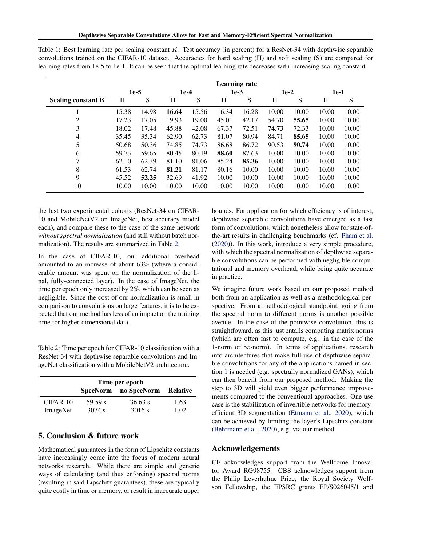|                           |        |       |        |       | <b>Learning rate</b> |       |        |       |       |       |
|---------------------------|--------|-------|--------|-------|----------------------|-------|--------|-------|-------|-------|
|                           | $1e-5$ |       | $1e-4$ |       | $1e-3$               |       | $1e-2$ |       | 1e-1  |       |
| <b>Scaling constant K</b> | Н      | S     | Н      | S     | Н                    | S     | Н      | S     | Н     | S     |
|                           | 15.38  | 14.98 | 16.64  | 15.56 | 16.34                | 16.28 | 10.00  | 10.00 | 10.00 | 10.00 |
| 2                         | 17.23  | 17.05 | 19.93  | 19.00 | 45.01                | 42.17 | 54.70  | 55.65 | 10.00 | 10.00 |
| 3                         | 18.02  | 17.48 | 45.88  | 42.08 | 67.37                | 72.51 | 74.73  | 72.33 | 10.00 | 10.00 |
| 4                         | 35.45  | 35.34 | 62.90  | 62.73 | 81.07                | 80.94 | 84.71  | 85.65 | 10.00 | 10.00 |
| 5                         | 50.68  | 50.36 | 74.85  | 74.73 | 86.68                | 86.72 | 90.53  | 90.74 | 10.00 | 10.00 |
| 6                         | 59.73  | 59.65 | 80.45  | 80.19 | 88.60                | 87.63 | 10.00  | 10.00 | 10.00 | 10.00 |
| 7                         | 62.10  | 62.39 | 81.10  | 81.06 | 85.24                | 85.36 | 10.00  | 10.00 | 10.00 | 10.00 |
| 8                         | 61.53  | 62.74 | 81.21  | 81.17 | 80.16                | 10.00 | 10.00  | 10.00 | 10.00 | 10.00 |
| 9                         | 45.52  | 52.25 | 32.69  | 41.92 | 10.00                | 10.00 | 10.00  | 10.00 | 10.00 | 10.00 |
| 10                        | 10.00  | 10.00 | 10.00  | 10.00 | 10.00                | 10.00 | 10.00  | 10.00 | 10.00 | 10.00 |

<span id="page-7-0"></span>Table 1: Best learning rate per scaling constant  $K$ : Test accuracy (in percent) for a ResNet-34 with depthwise separable convolutions trained on the CIFAR-10 dataset. Accuracies for hard scaling (H) and soft scaling (S) are compared for learning rates from 1e-5 to 1e-1. It can be seen that the optimal learning rate decreases with increasing scaling constant.

the last two experimental cohorts (ResNet-34 on CIFAR-10 and MobileNetV2 on ImageNet, best accuracy model each), and compare these to the case of the same network *without spectral normalization* (and still without batch normalization). The results are summarized in Table 2.

In the case of CIFAR-10, our additional overhead amounted to an increase of about 63% (where a considerable amount was spent on the normalization of the final, fully-connected layer). In the case of ImageNet, the time per epoch only increased by 2%, which can be seen as negligible. Since the cost of our normalization is small in comparison to convolutions on large features, it is to be expected that our method has less of an impact on the training time for higher-dimensional data.

Table 2: Time per epoch for CIFAR-10 classification with a ResNet-34 with depthwise separable convolutions and ImageNet classification with a MobileNetV2 architecture.

|                        | Time per epoch    |                   |              |
|------------------------|-------------------|-------------------|--------------|
|                        | <b>SpecNorm</b>   | no SpecNorm       | Relative     |
| $CIFAR-10$<br>ImageNet | 59.59 s<br>3074 s | 36.63 s<br>3016 s | 1.63<br>1.02 |

# 5. Conclusion & future work

Mathematical guarantees in the form of Lipschitz constants have increasingly come into the focus of modern neural networks research. While there are simple and generic ways of calculating (and thus enforcing) spectral norms (resulting in said Lipschitz guarantees), these are typically quite costly in time or memory, or result in inaccurate upper bounds. For application for which efficiency is of interest, depthwise separable convolutions have emerged as a fast form of convolutions, which nonetheless allow for state-ofthe-art results in challenging benchmarks (cf. [Pham et al.](#page-8-0) [\(2020\)](#page-8-0)). In this work, introduce a very simple procedure, with which the spectral normalization of depthwise separable convolutions can be performed with negligible computational and memory overhead, while being quite accurate in practice.

We imagine future work based on our proposed method both from an application as well as a methodological perspective. From a methodological standpoint, going from the spectral norm to different norms is another possible avenue. In the case of the pointwise convolution, this is straightfoward, as this just entails computing matrix norms (which are often fast to compute, e.g. in the case of the 1-norm or  $\infty$ -norm). In terms of applications, research into architectures that make full use of depthwise separable convolutions for any of the applications named in section [1](#page-0-0) is needed (e.g. spectrally normalized GANs), which can then benefit from our proposed method. Making the step to 3D will yield even bigger performance improvements compared to the conventional approaches. One use case is the stabilization of invertible networks for memoryefficient 3D segmentation [\(Etmann et al.,](#page-8-0) [2020\)](#page-8-0), which can be achieved by limiting the layer's Lipschitz constant [\(Behrmann et al.,](#page-8-0) [2020\)](#page-8-0), e.g. via our method.

## Acknowledgements

CE acknowledges support from the Wellcome Innovator Award RG98755. CBS acknowledges support from the Philip Leverhulme Prize, the Royal Society Wolfson Fellowship, the EPSRC grants EP/S026045/1 and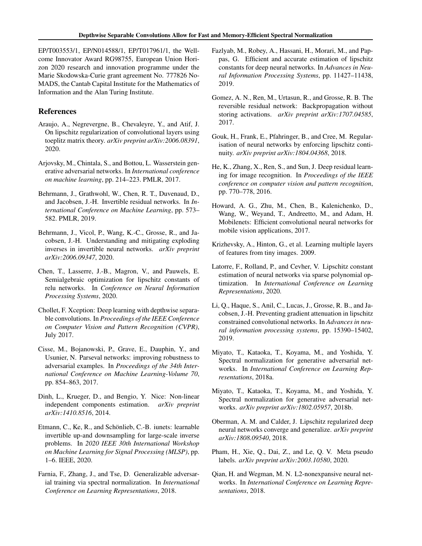<span id="page-8-0"></span>EP/T003553/1, EP/N014588/1, EP/T017961/1, the Wellcome Innovator Award RG98755, European Union Horizon 2020 research and innovation programme under the Marie Skodowska-Curie grant agreement No. 777826 No-MADS, the Cantab Capital Institute for the Mathematics of Information and the Alan Turing Institute.

# References

- Araujo, A., Negrevergne, B., Chevaleyre, Y., and Atif, J. On lipschitz regularization of convolutional layers using toeplitz matrix theory. *arXiv preprint arXiv:2006.08391*, 2020.
- Arjovsky, M., Chintala, S., and Bottou, L. Wasserstein generative adversarial networks. In *International conference on machine learning*, pp. 214–223. PMLR, 2017.
- Behrmann, J., Grathwohl, W., Chen, R. T., Duvenaud, D., and Jacobsen, J.-H. Invertible residual networks. In *International Conference on Machine Learning*, pp. 573– 582. PMLR, 2019.
- Behrmann, J., Vicol, P., Wang, K.-C., Grosse, R., and Jacobsen, J.-H. Understanding and mitigating exploding inverses in invertible neural networks. *arXiv preprint arXiv:2006.09347*, 2020.
- Chen, T., Lasserre, J.-B., Magron, V., and Pauwels, E. Semialgebraic optimization for lipschitz constants of relu networks. In *Conference on Neural Information Processing Systems*, 2020.
- Chollet, F. Xception: Deep learning with depthwise separable convolutions. In *Proceedings of the IEEE Conference on Computer Vision and Pattern Recognition (CVPR)*, July 2017.
- Cisse, M., Bojanowski, P., Grave, E., Dauphin, Y., and Usunier, N. Parseval networks: improving robustness to adversarial examples. In *Proceedings of the 34th International Conference on Machine Learning-Volume 70*, pp. 854–863, 2017.
- Dinh, L., Krueger, D., and Bengio, Y. Nice: Non-linear independent components estimation. *arXiv preprint arXiv:1410.8516*, 2014.
- Etmann, C., Ke, R., and Schönlieb, C.-B. iunets: learnable invertible up-and downsampling for large-scale inverse problems. In *2020 IEEE 30th International Workshop on Machine Learning for Signal Processing (MLSP)*, pp. 1–6. IEEE, 2020.
- Farnia, F., Zhang, J., and Tse, D. Generalizable adversarial training via spectral normalization. In *International Conference on Learning Representations*, 2018.
- Fazlyab, M., Robey, A., Hassani, H., Morari, M., and Pappas, G. Efficient and accurate estimation of lipschitz constants for deep neural networks. In *Advances in Neural Information Processing Systems*, pp. 11427–11438, 2019.
- Gomez, A. N., Ren, M., Urtasun, R., and Grosse, R. B. The reversible residual network: Backpropagation without storing activations. *arXiv preprint arXiv:1707.04585*, 2017.
- Gouk, H., Frank, E., Pfahringer, B., and Cree, M. Regularisation of neural networks by enforcing lipschitz continuity. *arXiv preprint arXiv:1804.04368*, 2018.
- He, K., Zhang, X., Ren, S., and Sun, J. Deep residual learning for image recognition. In *Proceedings of the IEEE conference on computer vision and pattern recognition*, pp. 770–778, 2016.
- Howard, A. G., Zhu, M., Chen, B., Kalenichenko, D., Wang, W., Weyand, T., Andreetto, M., and Adam, H. Mobilenets: Efficient convolutional neural networks for mobile vision applications, 2017.
- Krizhevsky, A., Hinton, G., et al. Learning multiple layers of features from tiny images. 2009.
- Latorre, F., Rolland, P., and Cevher, V. Lipschitz constant estimation of neural networks via sparse polynomial optimization. In *International Conference on Learning Representations*, 2020.
- Li, Q., Haque, S., Anil, C., Lucas, J., Grosse, R. B., and Jacobsen, J.-H. Preventing gradient attenuation in lipschitz constrained convolutional networks. In *Advances in neural information processing systems*, pp. 15390–15402, 2019.
- Miyato, T., Kataoka, T., Koyama, M., and Yoshida, Y. Spectral normalization for generative adversarial networks. In *International Conference on Learning Representations*, 2018a.
- Miyato, T., Kataoka, T., Koyama, M., and Yoshida, Y. Spectral normalization for generative adversarial networks. *arXiv preprint arXiv:1802.05957*, 2018b.
- Oberman, A. M. and Calder, J. Lipschitz regularized deep neural networks converge and generalize. *arXiv preprint arXiv:1808.09540*, 2018.
- Pham, H., Xie, Q., Dai, Z., and Le, Q. V. Meta pseudo labels. *arXiv preprint arXiv:2003.10580*, 2020.
- Qian, H. and Wegman, M. N. L2-nonexpansive neural networks. In *International Conference on Learning Representations*, 2018.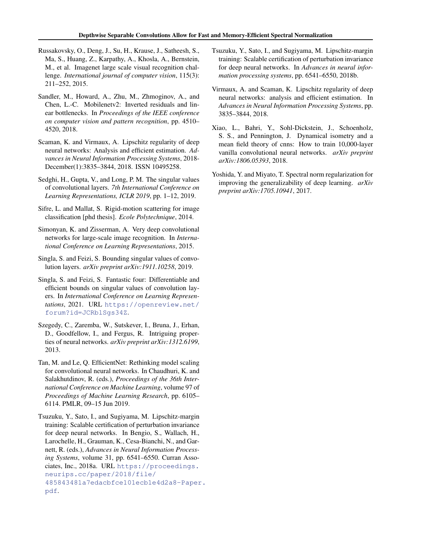- <span id="page-9-0"></span>Russakovsky, O., Deng, J., Su, H., Krause, J., Satheesh, S., Ma, S., Huang, Z., Karpathy, A., Khosla, A., Bernstein, M., et al. Imagenet large scale visual recognition challenge. *International journal of computer vision*, 115(3): 211–252, 2015.
- Sandler, M., Howard, A., Zhu, M., Zhmoginov, A., and Chen, L.-C. Mobilenetv2: Inverted residuals and linear bottlenecks. In *Proceedings of the IEEE conference on computer vision and pattern recognition*, pp. 4510– 4520, 2018.
- Scaman, K. and Virmaux, A. Lipschitz regularity of deep neural networks: Analysis and efficient estimation. *Advances in Neural Information Processing Systems*, 2018- December(1):3835–3844, 2018. ISSN 10495258.
- Sedghi, H., Gupta, V., and Long, P. M. The singular values of convolutional layers. *7th International Conference on Learning Representations, ICLR 2019*, pp. 1–12, 2019.
- Sifre, L. and Mallat, S. Rigid-motion scattering for image classification [phd thesis]. *Ecole Polytechnique*, 2014.
- Simonyan, K. and Zisserman, A. Very deep convolutional networks for large-scale image recognition. In *International Conference on Learning Representations*, 2015.
- Singla, S. and Feizi, S. Bounding singular values of convolution layers. *arXiv preprint arXiv:1911.10258*, 2019.
- Singla, S. and Feizi, S. Fantastic four: Differentiable and efficient bounds on singular values of convolution layers. In *International Conference on Learning Representations*, 2021. URL [https://openreview.net/](https://openreview.net/forum?id=JCRblSgs34Z) [forum?id=JCRblSgs34Z](https://openreview.net/forum?id=JCRblSgs34Z).
- Szegedy, C., Zaremba, W., Sutskever, I., Bruna, J., Erhan, D., Goodfellow, I., and Fergus, R. Intriguing properties of neural networks. *arXiv preprint arXiv:1312.6199*, 2013.
- Tan, M. and Le, Q. EfficientNet: Rethinking model scaling for convolutional neural networks. In Chaudhuri, K. and Salakhutdinov, R. (eds.), *Proceedings of the 36th International Conference on Machine Learning*, volume 97 of *Proceedings of Machine Learning Research*, pp. 6105– 6114. PMLR, 09–15 Jun 2019.
- Tsuzuku, Y., Sato, I., and Sugiyama, M. Lipschitz-margin training: Scalable certification of perturbation invariance for deep neural networks. In Bengio, S., Wallach, H., Larochelle, H., Grauman, K., Cesa-Bianchi, N., and Garnett, R. (eds.), *Advances in Neural Information Processing Systems*, volume 31, pp. 6541–6550. Curran Associates, Inc., 2018a. URL [https://proceedings.](https://proceedings.neurips.cc/paper/2018/file/485843481a7edacbfce101ecb1e4d2a8-Paper.pdf) [neurips.cc/paper/2018/file/](https://proceedings.neurips.cc/paper/2018/file/485843481a7edacbfce101ecb1e4d2a8-Paper.pdf) [485843481a7edacbfce101ecb1e4d2a8-Paper](https://proceedings.neurips.cc/paper/2018/file/485843481a7edacbfce101ecb1e4d2a8-Paper.pdf). [pdf](https://proceedings.neurips.cc/paper/2018/file/485843481a7edacbfce101ecb1e4d2a8-Paper.pdf).
- Tsuzuku, Y., Sato, I., and Sugiyama, M. Lipschitz-margin training: Scalable certification of perturbation invariance for deep neural networks. In *Advances in neural information processing systems*, pp. 6541–6550, 2018b.
- Virmaux, A. and Scaman, K. Lipschitz regularity of deep neural networks: analysis and efficient estimation. In *Advances in Neural Information Processing Systems*, pp. 3835–3844, 2018.
- Xiao, L., Bahri, Y., Sohl-Dickstein, J., Schoenholz, S. S., and Pennington, J. Dynamical isometry and a mean field theory of cnns: How to train 10,000-layer vanilla convolutional neural networks. *arXiv preprint arXiv:1806.05393*, 2018.
- Yoshida, Y. and Miyato, T. Spectral norm regularization for improving the generalizability of deep learning. *arXiv preprint arXiv:1705.10941*, 2017.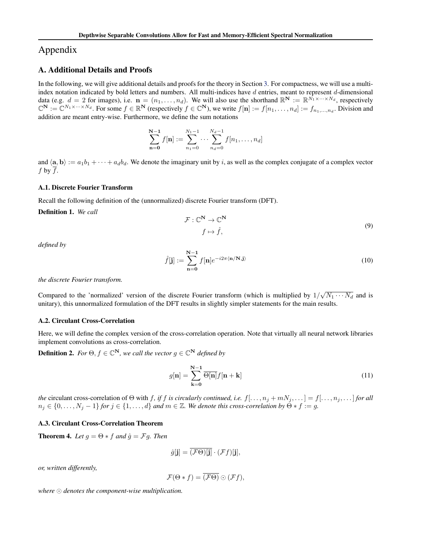# <span id="page-10-0"></span>Appendix

# A. Additional Details and Proofs

In the following, we will give additional details and proofs for the theory in Section [3.](#page-2-0) For compactness, we will use a multiindex notation indicated by bold letters and numbers. All multi-indices have  $d$  entries, meant to represent  $d$ -dimensional data (e.g.  $d = 2$  for images), i.e.  $\mathbf{n} = (n_1, \dots, n_d)$ . We will also use the shorthand  $\mathbb{R}^N := \mathbb{R}^{\bar{N_1} \times \dots \times N_d}$ , respectively  $\mathbb{C}^{\mathbf{N}} := \mathbb{C}^{N_1 \times \cdots \times N_d}$ . For some  $f \in \mathbb{R}^{\mathbf{N}}$  (respectively  $f \in \mathbb{C}^{\mathbf{N}}$ ), we write  $f[\mathbf{n}] := f[n_1, \ldots, n_d] := f_{n_1, \ldots, n_d}$ . Division and addition are meant entry-wise. Furthermore, we define the sum notations

$$
\sum_{n=0}^{N-1} f[n] := \sum_{n_1=0}^{N_1-1} \cdots \sum_{n_d=0}^{N_d-1} f[n_1, \ldots, n_d]
$$

and  $\langle \mathbf{a}, \mathbf{b} \rangle := a_1b_1 + \cdots + a_d b_d$ . We denote the imaginary unit by i, as well as the complex conjugate of a complex vector f by  $\overline{f}$ .

### A.1. Discrete Fourier Transform

Recall the following definition of the (unnormalized) discrete Fourier transform (DFT).

Definition 1. *We call*

$$
\mathcal{F}: \mathbb{C}^{\mathbf{N}} \to \mathbb{C}^{\mathbf{N}} \tag{9}
$$

$$
f \mapsto \hat{f},
$$

*defined by*

$$
\hat{f}[\mathbf{j}] := \sum_{\mathbf{n}=\mathbf{0}}^{\mathbf{N}-1} f[\mathbf{n}] e^{-i2\pi \langle \mathbf{n}/\mathbf{N}, \mathbf{j} \rangle} \tag{10}
$$

### *the discrete Fourier transform.*

Compared to the 'normalized' version of the discrete Fourier transform (which is multiplied by  $1/\sqrt{N_1 \cdots N_d}$  and is unitary), this unnormalized formulation of the DFT results in slightly simpler statements for the main results.

## A.2. Circulant Cross-Correlation

Here, we will define the complex version of the cross-correlation operation. Note that virtually all neural network libraries implement convolutions as cross-correlation.

**Definition 2.** *For*  $\Theta$ ,  $f \in \mathbb{C}^{N}$ , we call the vector  $g \in \mathbb{C}^{N}$  defined by

$$
g[\mathbf{n}] = \sum_{\mathbf{k}=0}^{\mathbf{N}-1} \overline{\Theta[\mathbf{n}]} f[\mathbf{n} + \mathbf{k}] \tag{11}
$$

*the* circulant cross-correlation of  $\Theta$  with f, if f is circularly continued, i.e.  $f[\ldots, n_j + mN_j, \ldots] = f[\ldots, n_j, \ldots]$  for all  $n_j \in \{0, \ldots, N_j - 1\}$  *for*  $j \in \{1, \ldots, d\}$  *and*  $m \in \mathbb{Z}$ *. We denote this cross-correlation by*  $\Theta * f := g$ *.* 

### A.3. Circulant Cross-Correlation Theorem

**Theorem 4.** *Let*  $g = \Theta * f$  *and*  $\hat{g} = \mathcal{F}g$ *. Then* 

$$
\hat{g}[\mathbf{j}] = \overline{(\mathcal{F}\Theta)[\mathbf{j}]} \cdot (\mathcal{F}f)[\mathbf{j}],
$$

*or, written differently,*

$$
\mathcal{F}(\Theta * f) = \overline{(\mathcal{F}\Theta)} \odot (\mathcal{F}f),
$$

where  $\odot$  denotes the component-wise multiplication.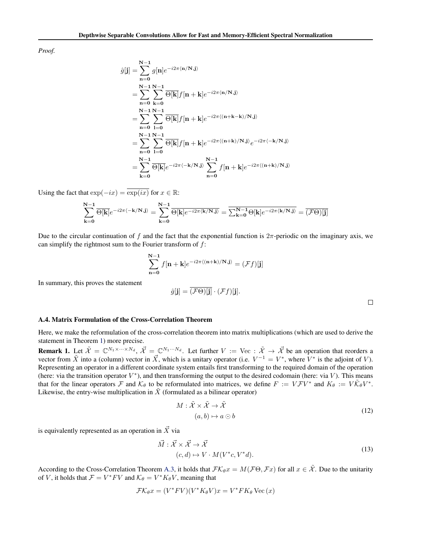<span id="page-11-0"></span>*Proof.*

$$
\hat{g}[j] = \sum_{n=0}^{N-1} g[n] e^{-i2\pi \langle n/N, j \rangle}
$$
  
\n
$$
= \sum_{n=0}^{N-1} \sum_{k=0}^{N-1} \overline{\Theta[k]} f[n+k] e^{-i2\pi \langle n/N, j \rangle}
$$
  
\n
$$
= \sum_{n=0}^{N-1} \sum_{l=0}^{N-1} \overline{\Theta[k]} f[n+k] e^{-i2\pi \langle (n+k-k)/N, j \rangle}
$$
  
\n
$$
= \sum_{n=0}^{N-1} \sum_{l=0}^{N-1} \overline{\Theta[k]} f[n+k] e^{-i2\pi \langle (n+k)/N, j \rangle} e^{-i2\pi \langle -k/N, j \rangle}
$$
  
\n
$$
= \sum_{k=0}^{N-1} \overline{\Theta[k]} e^{-i2\pi \langle -k/N, j \rangle} \sum_{n=0}^{N-1} f[n+k] e^{-i2\pi \langle (n+k)/N, j \rangle}
$$

Using the fact that  $\exp(-ix) = \exp(ix)$  for  $x \in \mathbb{R}$ :

$$
\sum_{k=0}^{N-1} \overline{\Theta[k]} e^{-i2\pi \langle -k/N, j \rangle} = \sum_{k=0}^{N-1} \overline{\Theta[k] e^{-i2\pi \langle k/N, j \rangle}} = \overline{\sum_{k=0}^{N-1} \Theta[k] e^{-i2\pi \langle k/N, j \rangle}} = \overline{(\mathcal{F}\Theta)[j]}
$$

Due to the circular continuation of f and the fact that the exponential function is  $2\pi$ -periodic on the imaginary axis, we can simplify the rightmost sum to the Fourier transform of  $f$ :

$$
\sum_{n=0}^{N-1} f[n+k] e^{-i2\pi \langle (n+k)/N, j \rangle} = (\mathcal{F}f)[j]
$$

In summary, this proves the statement

$$
\hat{g}[\mathbf{j}] = \overline{(\mathcal{F}\Theta)[\mathbf{j}]} \cdot (\mathcal{F}f)[\mathbf{j}].
$$

 $\Box$ 

### A.4. Matrix Formulation of the Cross-Correlation Theorem

Here, we make the reformulation of the cross-correlation theorem into matrix multiplications (which are used to derive the statement in Theorem [1\)](#page-3-0) more precise.

**Remark 1.** Let  $\tilde{\mathcal{X}} = \mathbb{C}^{N_1 \times \cdots \times N_d}$ ,  $\vec{\mathcal{X}} = \mathbb{C}^{N_1 \cdots N_d}$ . Let further  $V := \text{Vec}: \tilde{\mathcal{X}} \to \vec{\mathcal{X}}$  be an operation that reorders a vector from  $\tilde{X}$  into a (column) vector in  $\vec{X}$ , which is a unitary operator (i.e.  $V^{-1} = V^*$ , where  $\tilde{V}^*$  is the adjoint of V). Representing an operator in a different coordinate system entails first transforming to the required domain of the operation (here: via the transition operator  $V^*$ ), and then transforming the output to the desired codomain (here: via  $V$ ). This means that for the linear operators F and  $K_{\theta}$  to be reformulated into matrices, we define  $F := V \mathcal{F} V^*$  and  $K_{\theta} := V \tilde{K}_{\theta} V^*$ . Likewise, the entry-wise multiplication in  $\tilde{X}$  (formulated as a bilinear operator)

$$
M: \tilde{\mathcal{X}} \times \tilde{\mathcal{X}} \to \tilde{\mathcal{X}}
$$
  
(a, b) \mapsto a \odot b (12)

is equivalently represented as an operation in  $\vec{X}$  via

$$
\vec{M}: \vec{\mathcal{X}} \times \vec{\mathcal{X}} \to \vec{\mathcal{X}}
$$
\n
$$
(c, d) \mapsto V \cdot M(V^*c, V^*d). \tag{13}
$$

According to the Cross-Correlation Theorem [A.3,](#page-10-0) it holds that  $\mathcal{FK}_{\theta}x = M(\mathcal{F}\Theta, \mathcal{F}x)$  for all  $x \in \mathcal{X}$ . Due to the unitarity of V, it holds that  $\mathcal{F} = V^* F V$  and  $\mathcal{K}_{\theta} = V^* K_{\theta} V$ , meaning that

$$
\mathcal{FK}_{\theta}x = (V^*FV)(V^*K_{\theta}V)x = V^*FK_{\theta}
$$
 Vec (x)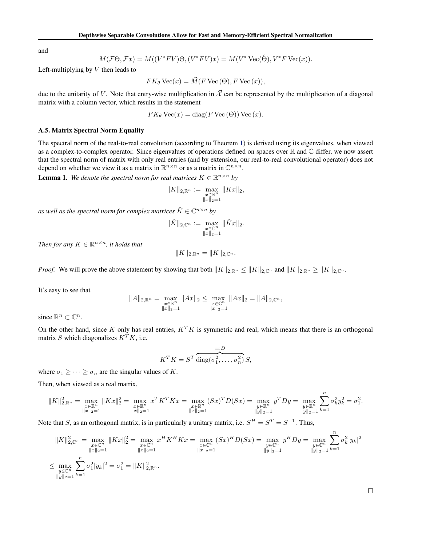<span id="page-12-0"></span>and

$$
M(\mathcal{F}\Theta,\mathcal{F}x)=M((V^*FV)\Theta,(V^*FV)x)=M(V^*\operatorname{Vec}(\hat{\Theta}),V^*F\operatorname{Vec}(x)).
$$

Left-multiplying by  $V$  then leads to

$$
FK_{\theta} \text{Vec}(x) = \vec{M}(F \text{Vec}(\Theta), F \text{Vec}(x)),
$$

due to the unitarity of V. Note that entry-wise multiplication in  $\vec{\chi}$  can be represented by the multiplication of a diagonal matrix with a column vector, which results in the statement

$$
FK_{\theta} \text{Vec}(x) = \text{diag}(F \text{Vec}(\Theta)) \text{Vec}(x).
$$

### A.5. Matrix Spectral Norm Equality

The spectral norm of the real-to-real convolution (according to Theorem [1\)](#page-3-0) is derived using its eigenvalues, when viewed as a complex-to-complex operator. Since eigenvalues of operations defined on spaces over  $\mathbb R$  and  $\mathbb C$  differ, we now assert that the spectral norm of matrix with only real entries (and by extension, our real-to-real convolutional operator) does not depend on whether we view it as a matrix in  $\mathbb{R}^{n \times n}$  or as a matrix in  $\mathbb{C}^{n \times n}$ .

**Lemma 1.** We denote the spectral norm for real matrices  $K \in \mathbb{R}^{n \times n}$  by

$$
||K||_{2,\mathbb{R}^n} := \max_{\substack{x \in \mathbb{R}^n \\ ||x||_2 = 1}} ||Kx||_2,
$$

as well as the spectral norm for complex matrices  $\tilde{K} \in \mathbb{C}^{n \times n}$  by

$$
\|\tilde{K}\|_{2,\mathbb{C}^n} := \max_{\substack{x \in \mathbb{C}^n \\ \|x\|_2 = 1}} \|\tilde{K}x\|_2.
$$

*Then for any*  $K \in \mathbb{R}^{n \times n}$ *, it holds that* 

$$
||K||_{2,\mathbb{R}^n} = ||K||_{2,\mathbb{C}^n}.
$$

*Proof.* We will prove the above statement by showing that both  $||K||_{2,\mathbb{R}^n} \le ||K||_{2,\mathbb{C}^n}$  and  $||K||_{2,\mathbb{R}^n} \ge ||K||_{2,\mathbb{C}^n}$ .

It's easy to see that

$$
||A||_{2,\mathbb{R}^n} = \max_{\substack{x \in \mathbb{R}^n \\ ||x||_2 = 1}} ||Ax||_2 \le \max_{\substack{x \in \mathbb{C}^n \\ ||x||_2 = 1}} ||Ax||_2 = ||A||_{2,\mathbb{C}^n},
$$

since  $\mathbb{R}^n \subset \mathbb{C}^n$ .

On the other hand, since K only has real entries,  $K^T K$  is symmetric and real, which means that there is an orthogonal matrix S which diagonalizes  $K^T K$ , i.e.

$$
K^T K = S^T \overline{\text{diag}(\sigma_1^2, \dots, \sigma_n^2)} S,
$$

where  $\sigma_1 \geq \cdots \geq \sigma_n$  are the singular values of K.

Then, when viewed as a real matrix,

$$
\|K\|_{2,\mathbb{R}^n}^2 = \max_{\substack{x \in \mathbb{R}^n \\ \|x\|_2 = 1}} \|Kx\|_2^2 = \max_{\substack{x \in \mathbb{R}^n \\ \|x\|_2 = 1}} x^T K^T K x = \max_{\substack{x \in \mathbb{R}^n \\ \|x\|_2 = 1}} (Sx)^T D(Sx) = \max_{\substack{y \in \mathbb{R}^n \\ \|y\|_2 = 1}} y^T Dy = \max_{\substack{y \in \mathbb{R}^n \\ \|y\|_2 = 1}} \sum_{k=1} \sigma_k^2 y_k^2 = \sigma_1^2.
$$

Note that S, as an orthogonal matrix, is in particularly a unitary matrix, i.e.  $S^H = S^T = S^{-1}$ . Thus,

$$
||K||_{2,\mathbb{C}^n}^2 = \max_{\substack{x \in \mathbb{C}^n \\ ||x||_2 = 1}} ||Kx||_2^2 = \max_{\substack{x \in \mathbb{C}^n \\ ||x||_2 = 1}} x^H K^H K x = \max_{\substack{x \in \mathbb{C}^n \\ ||x||_2 = 1}} (Sx)^H D(Sx) = \max_{\substack{y \in \mathbb{C}^n \\ ||y||_2 = 1}} y^H Dy = \max_{\substack{y \in \mathbb{C}^n \\ ||y||_2 = 1}} \sum_{k=1} \sigma_k^2 |y_k|^2
$$
  

$$
\leq \max_{\substack{y \in \mathbb{C}^n \\ ||y||_2 = 1}} \sum_{k=1}^n \sigma_k^2 |y_k|^2 = \sigma_1^2 = ||K||_{2,\mathbb{R}^n}^2.
$$

 $\Box$ 

 $\overline{n}$ 

 $\overline{n}$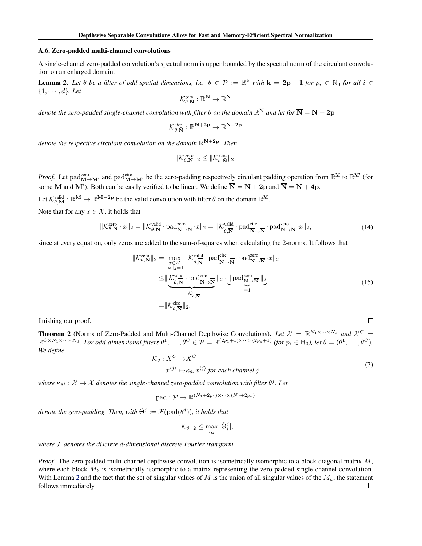### <span id="page-13-0"></span>A.6. Zero-padded multi-channel convolutions

A single-channel zero-padded convolution's spectral norm is upper bounded by the spectral norm of the circulant convolution on an enlarged domain.

**Lemma 2.** Let  $\theta$  be a filter of odd spatial dimensions, i.e.  $\theta \in \mathcal{P} := \mathbb{R}^k$  with  $k = 2p + 1$  for  $p_i \in \mathbb{N}_0$  for all  $i \in$  $\{1, \cdots, d\}$ *. Let* 

$$
\mathcal{K}^{zero}_{\theta,\mathbf{N}}:\mathbb{R}^\mathbf{N}\to\mathbb{R}^\mathbf{N}
$$

denote the zero-padded single-channel convolution with filter  $\theta$  on the domain  $\R^N$  and let for  $\overline{\bf N} = {\bf N} + {\bf 2p}$ 

$$
\mathcal{K}_{\theta,\bar{N}}^{\text{circ}}:\mathbb{R}^{N+2p}\rightarrow\mathbb{R}^{N+2p}
$$

*denote the respective circulant convolution on the domain* R <sup>N</sup>+2p*. Then*

$$
\|\mathcal{K}_{\theta,\mathbf{N}}^{\text{zero}}\|_2 \le \|\mathcal{K}_{\theta,\mathbf{N}}^{\text{circ}}\|_2.
$$

*Proof.* Let  $\text{pad}_{M\to M'}^{\text{zero}}$  and  $\text{pad}_{M\to M'}^{\text{circ}}$  be the zero-padding respectively circulant padding operation from  $\mathbb{R}^M$  to  $\mathbb{R}^M$  (for some M and M'). Both can be easily verified to be linear. We define  $\overline{N} = N + 2p$  and  $\overline{N} = N + 4p$ .

Let  $\mathcal{K}_{\theta,\mathbf{M}}^{\text{valid}} : \mathbb{R}^{\mathbf{M}} \to \mathbb{R}^{\mathbf{M}-2\mathbf{p}}$  be the valid convolution with filter  $\theta$  on the domain  $\mathbb{R}^{\mathbf{M}}$ .

Note that for any  $x \in \mathcal{X}$ , it holds that

$$
\|\mathcal{K}_{\theta,\mathbf{N}}^{\text{zero}} \cdot x\|_2 = \|\mathcal{K}_{\theta,\overline{\mathbf{N}}}^{\text{valid}} \cdot \text{pad}_{\mathbf{N}\to\overline{\mathbf{N}}}^{\text{zero}} \cdot x\|_2 = \|\mathcal{K}_{\theta,\overline{\mathbf{N}}}^{\text{valid}} \cdot \text{pad}_{\overline{\mathbf{N}}\to\overline{\mathbf{N}}}^{\text{circ}} \cdot \text{pad}_{\mathbf{N}\to\overline{\mathbf{N}}}^{\text{zero}} \cdot x\|_2,\tag{14}
$$

since at every equation, only zeros are added to the sum-of-squares when calculating the 2-norms. It follows that

$$
\|\mathcal{K}_{\theta,\mathbf{N}}^{\text{zero}}\|_{2} = \max_{\substack{x \in \mathcal{X} \\ \|x\|_{2} = 1}} \|\mathcal{K}_{\theta,\overline{\mathbf{N}}}^{\text{valid}} \cdot \text{pad}_{\overline{\mathbf{N}} \to \overline{\mathbf{N}}}^{\text{circ}} \cdot \text{pad}_{\mathbf{N} \to \overline{\mathbf{N}}}^{\text{zero}} \cdot x\|_{2}
$$
  

$$
\leq \|\underbrace{\mathcal{K}_{\theta,\overline{\mathbf{N}}}^{\text{valid}} \cdot \text{pad}_{\overline{\mathbf{N}} \to \overline{\mathbf{N}}}}_{= \mathcal{K}_{\theta,\overline{\mathbf{N}}}^{\text{circ}}} \|_{2} \cdot \underbrace{\|\text{pad}_{\mathbf{N} \to \overline{\mathbf{N}}}^{\text{zero}}\|_{2}}_{=1}
$$
  

$$
= \|\mathcal{K}_{\theta,\overline{\mathbf{N}}}^{\text{circ}}\|_{2}, \tag{15}
$$

finishing our proof.

**Theorem 2** (Norms of Zero-Padded and Multi-Channel Depthwise Convolutions). Let  $X = \mathbb{R}^{N_1 \times \cdots \times N_d}$  and  $X^C =$  $\mathbb{R}^{C \times N_1 \times \cdots \times N_d}$ . For odd-dimensional filters  $\theta^1, \ldots, \theta^C \in \mathcal{P} = \mathbb{R}^{(2p_1+1) \times \cdots \times (2p_d+1)}$  (for  $p_i \in \mathbb{N}_0$ ), let  $\theta = (\theta^1, \ldots, \theta^C)$ . *We define*

$$
\mathcal{K}_{\theta}: X^C \to X^C
$$
  

$$
x^{\langle j \rangle} \mapsto \kappa_{\theta^j} x^{\langle j \rangle} \text{ for each channel } j
$$
 (7)

 $\Box$ 

 $\omega$  *where*  $\kappa_{\theta}$  :  $X \to X$  denotes the single-channel zero-padded convolution with filter  $\theta$ <sup>*j*</sup>. Let

$$
pad: \mathcal{P} \to \mathbb{R}^{(N_1 + 2p_1) \times \cdots \times (N_d + 2p_d)}
$$

denote the zero-padding. Then, with  $\hat{\Theta}^j := \mathcal{F}(\text{pad}(\theta^j))$ , it holds that

$$
\|\mathcal{K}_{\theta}\|_2 \le \max_{i,j} |\hat{\Theta}_i^j|,
$$

*where* F *denotes the discrete* d*-dimensional discrete Fourier transform.*

*Proof.* The zero-padded multi-channel depthwise convolution is isometrically isomorphic to a block diagonal matrix M, where each block  $M_k$  is isometrically isomorphic to a matrix representing the zero-padded single-channel convolution. With Lemma 2 and the fact that the set of singular values of  $M$  is the union of all singular values of the  $M_k$ , the statement follows immediately. $\Box$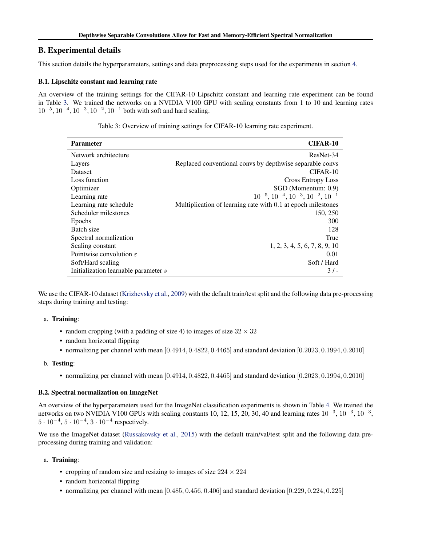# <span id="page-14-0"></span>B. Experimental details

This section details the hyperparameters, settings and data preprocessing steps used for the experiments in section [4.](#page-5-0)

# B.1. Lipschitz constant and learning rate

An overview of the training settings for the CIFAR-10 Lipschitz constant and learning rate experiment can be found in Table 3. We trained the networks on a NVIDIA V100 GPU with scaling constants from 1 to 10 and learning rates  $10^{-5}$ ,  $10^{-4}$ ,  $10^{-3}$ ,  $10^{-2}$ ,  $10^{-1}$  both with soft and hard scaling.

| <b>Parameter</b>                     | CIFAR-10                                                     |
|--------------------------------------|--------------------------------------------------------------|
| Network architecture                 | ResNet-34                                                    |
| Layers                               | Replaced conventional convex by depthwise separable converts |
| <b>Dataset</b>                       | $CIFAR-10$                                                   |
| Loss function                        | <b>Cross Entropy Loss</b>                                    |
| Optimizer                            | SGD (Momentum: 0.9)                                          |
| Learning rate                        | $10^{-5}$ , $10^{-4}$ , $10^{-3}$ , $10^{-2}$ , $10^{-1}$    |
| Learning rate schedule               | Multiplication of learning rate with 0.1 at epoch milestones |
| Scheduler milestones                 | 150, 250                                                     |
| Epochs                               | 300                                                          |
| Batch size                           | 128                                                          |
| Spectral normalization               | True                                                         |
| Scaling constant                     | 1, 2, 3, 4, 5, 6, 7, 8, 9, 10                                |
| Pointwise convolution $\varepsilon$  | 0.01                                                         |
| Soft/Hard scaling                    | Soft / Hard                                                  |
| Initialization learnable parameter s | $31 -$                                                       |

Table 3: Overview of training settings for CIFAR-10 learning rate experiment.

We use the CIFAR-10 dataset [\(Krizhevsky et al.,](#page-8-0) [2009\)](#page-8-0) with the default train/test split and the following data pre-processing steps during training and testing:

## a. Training:

- random cropping (with a padding of size 4) to images of size  $32 \times 32$
- random horizontal flipping
- normalizing per channel with mean [0.4914, 0.4822, 0.4465] and standard deviation [0.2023, 0.1994, 0.2010]

## b. Testing:

• normalizing per channel with mean [0.4914, 0.4822, 0.4465] and standard deviation [0.2023, 0.1994, 0.2010]

# B.2. Spectral normalization on ImageNet

An overview of the hyperparameters used for the ImageNet classification experiments is shown in Table [4.](#page-15-0) We trained the networks on two NVIDIA V100 GPUs with scaling constants 10, 12, 15, 20, 30, 40 and learning rates  $10^{-3}$ ,  $10^{-3}$ ,  $10^{-3}$ ,  $10^{-3}$ ,  $5 \cdot 10^{-4}$ ,  $5 \cdot 10^{-4}$ ,  $3 \cdot 10^{-4}$  respectively.

We use the ImageNet dataset [\(Russakovsky et al.,](#page-9-0) [2015\)](#page-9-0) with the default train/val/test split and the following data preprocessing during training and validation:

## a. Training:

- cropping of random size and resizing to images of size  $224 \times 224$
- random horizontal flipping
- normalizing per channel with mean  $[0.485, 0.456, 0.406]$  and standard deviation  $[0.229, 0.224, 0.225]$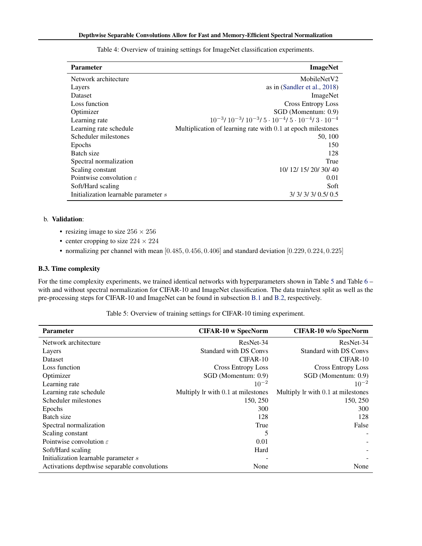<span id="page-15-0"></span>

| <b>Parameter</b>                     | <b>ImageNet</b>                                                                               |
|--------------------------------------|-----------------------------------------------------------------------------------------------|
| Network architecture                 | MobileNetV2                                                                                   |
| Layers                               | as in (Sandler et al., 2018)                                                                  |
| Dataset                              | ImageNet                                                                                      |
| Loss function                        | <b>Cross Entropy Loss</b>                                                                     |
| Optimizer                            | SGD (Momentum: 0.9)                                                                           |
| Learning rate                        | $10^{-3}$ / $10^{-3}$ / $10^{-3}$ / $5 \cdot 10^{-4}$ / $5 \cdot 10^{-4}$ / $3 \cdot 10^{-4}$ |
| Learning rate schedule               | Multiplication of learning rate with 0.1 at epoch milestones                                  |
| Scheduler milestones                 | 50, 100                                                                                       |
| Epochs                               | 150                                                                                           |
| Batch size                           | 128                                                                                           |
| Spectral normalization               | True                                                                                          |
| Scaling constant                     | 10/ 12/ 15/ 20/ 30/ 40                                                                        |
| Pointwise convolution $\varepsilon$  | 0.01                                                                                          |
| Soft/Hard scaling                    | Soft                                                                                          |
| Initialization learnable parameter s | 3/3/3/3/0.5/0.5                                                                               |

Table 4: Overview of training settings for ImageNet classification experiments.

# b. Validation:

- resizing image to size  $256 \times 256$
- center cropping to size  $224 \times 224$
- normalizing per channel with mean [0.485, 0.456, 0.406] and standard deviation [0.229, 0.224, 0.225]

## B.3. Time complexity

For the time complexity experiments, we trained identical networks with hyperparameters shown in Table 5 and Table [6](#page-16-0) – with and without spectral normalization for CIFAR-10 and ImageNet classification. The data train/test split as well as the pre-processing steps for CIFAR-10 and ImageNet can be found in subsection [B.1](#page-14-0) and [B.2,](#page-14-0) respectively.

Table 5: Overview of training settings for CIFAR-10 timing experiment.

| <b>Parameter</b>                             | <b>CIFAR-10 w SpecNorm</b>         | <b>CIFAR-10 w/o SpecNorm</b>       |
|----------------------------------------------|------------------------------------|------------------------------------|
| Network architecture                         | ResNet-34                          | ResNet-34                          |
| Layers                                       | <b>Standard with DS Convs</b>      | <b>Standard with DS Convs</b>      |
| Dataset                                      | CIFAR-10                           | $CIFAR-10$                         |
| Loss function                                | <b>Cross Entropy Loss</b>          | Cross Entropy Loss                 |
| Optimizer                                    | SGD (Momentum: 0.9)                | SGD (Momentum: 0.9)                |
| Learning rate                                | $10^{-2}$                          | $10^{-2}$                          |
| Learning rate schedule                       | Multiply lr with 0.1 at milestones | Multiply lr with 0.1 at milestones |
| Scheduler milestones                         | 150, 250                           | 150, 250                           |
| Epochs                                       | 300                                | 300                                |
| Batch size                                   | 128                                | 128                                |
| Spectral normalization                       | True                               | False                              |
| Scaling constant                             | 5                                  |                                    |
| Pointwise convolution $\varepsilon$          | 0.01                               |                                    |
| Soft/Hard scaling                            | Hard                               |                                    |
| Initialization learnable parameter s         |                                    |                                    |
| Activations depthwise separable convolutions | None                               | None                               |